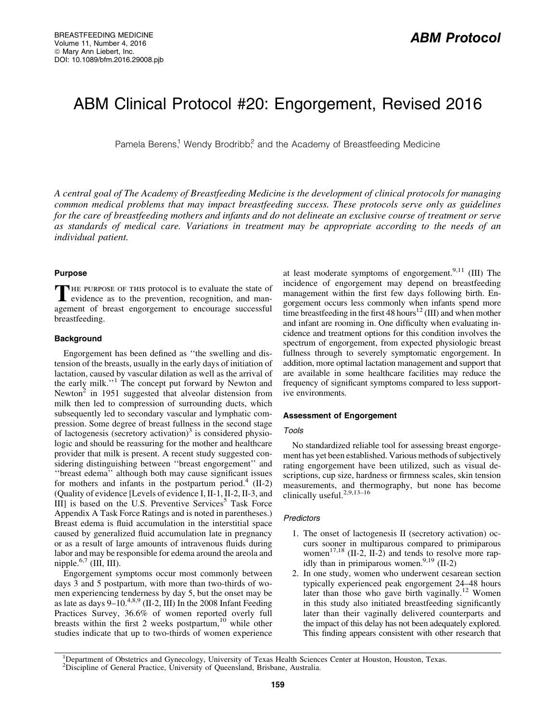# ABM Clinical Protocol #20: Engorgement, Revised 2016

Pamela Berens,<sup>1</sup> Wendy Brodribb,<sup>2</sup> and the Academy of Breastfeeding Medicine

*A central goal of The Academy of Breastfeeding Medicine is the development of clinical protocols for managing common medical problems that may impact breastfeeding success. These protocols serve only as guidelines for the care of breastfeeding mothers and infants and do not delineate an exclusive course of treatment or serve as standards of medical care. Variations in treatment may be appropriate according to the needs of an individual patient.*

## Purpose

THE PURPOSE OF THIS protocol is to evaluate the state of evidence as to the prevention, recognition, and management of breast engorgement to encourage successful breastfeeding.

## **Background**

Engorgement has been defined as ''the swelling and distension of the breasts, usually in the early days of initiation of lactation, caused by vascular dilation as well as the arrival of the early milk."<sup>1</sup> The concept put forward by Newton and Newton<sup>2</sup> in 1951 suggested that alveolar distension from milk then led to compression of surrounding ducts, which subsequently led to secondary vascular and lymphatic compression. Some degree of breast fullness in the second stage of lactogenesis (secretory activation) $\delta$  is considered physiologic and should be reassuring for the mother and healthcare provider that milk is present. A recent study suggested considering distinguishing between ''breast engorgement'' and ''breast edema'' although both may cause significant issues for mothers and infants in the postpartum period. $4$  (II-2) (Quality of evidence [Levels of evidence I, II-1, II-2, II-3, and III] is based on the U.S. Preventive Services<sup>5</sup> Task Force Appendix A Task Force Ratings and is noted in parentheses.) Breast edema is fluid accumulation in the interstitial space caused by generalized fluid accumulation late in pregnancy or as a result of large amounts of intravenous fluids during labor and may be responsible for edema around the areola and nipple. $6,7$  (III, III).

Engorgement symptoms occur most commonly between days 3 and 5 postpartum, with more than two-thirds of women experiencing tenderness by day 5, but the onset may be as late as days  $9-10^{4,8,9}$  (II-2, III) In the 2008 Infant Feeding Practices Survey, 36.6% of women reported overly full breasts within the first 2 weeks postpartum,<sup>10</sup> while other studies indicate that up to two-thirds of women experience at least moderate symptoms of engorgement. $9,11$  (III) The incidence of engorgement may depend on breastfeeding management within the first few days following birth. Engorgement occurs less commonly when infants spend more time breastfeeding in the first 48 hours<sup>12</sup> (III) and when mother and infant are rooming in. One difficulty when evaluating incidence and treatment options for this condition involves the spectrum of engorgement, from expected physiologic breast fullness through to severely symptomatic engorgement. In addition, more optimal lactation management and support that are available in some healthcare facilities may reduce the frequency of significant symptoms compared to less supportive environments.

### Assessment of Engorgement

#### Tools

No standardized reliable tool for assessing breast engorgement has yet been established. Various methods of subjectively rating engorgement have been utilized, such as visual descriptions, cup size, hardness or firmness scales, skin tension measurements, and thermography, but none has become clinically useful.<sup>2,9,13-16</sup>

## **Predictors**

- 1. The onset of lactogenesis II (secretory activation) occurs sooner in multiparous compared to primiparous women<sup>17,18</sup> (II-2, II-2) and tends to resolve more rapidly than in primiparous women. $9,19$  (II-2)
- 2. In one study, women who underwent cesarean section typically experienced peak engorgement 24–48 hours later than those who gave birth vaginally.<sup>12</sup> Women in this study also initiated breastfeeding significantly later than their vaginally delivered counterparts and the impact of this delay has not been adequately explored. This finding appears consistent with other research that

<sup>&</sup>lt;sup>1</sup>Department of Obstetrics and Gynecology, University of Texas Health Sciences Center at Houston, Houston, Texas. <sup>2</sup>Discipline of General Practice, University of Queensland, Brisbane, Australia.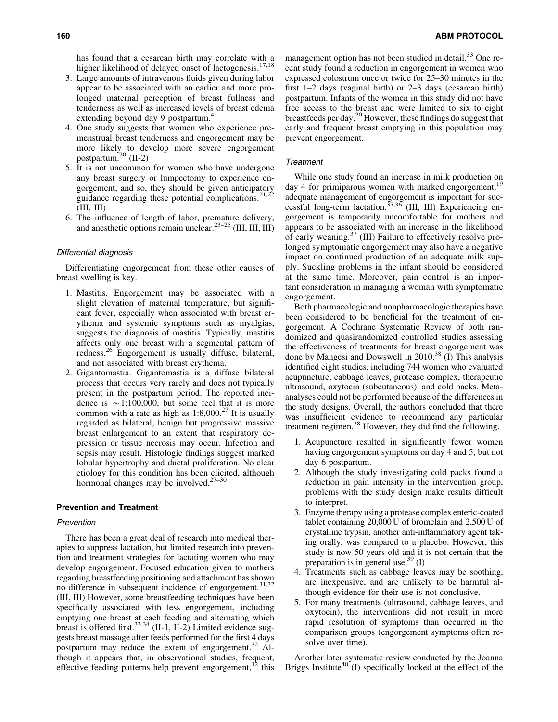has found that a cesarean birth may correlate with a higher likelihood of delayed onset of lactogenesis.<sup>17,18</sup>

- 3. Large amounts of intravenous fluids given during labor appear to be associated with an earlier and more prolonged maternal perception of breast fullness and tenderness as well as increased levels of breast edema extending beyond day 9 postpartum.<sup>4</sup>
- 4. One study suggests that women who experience premenstrual breast tenderness and engorgement may be more likely to develop more severe engorgement postpartum.20 (II-2)
- 5. It is not uncommon for women who have undergone any breast surgery or lumpectomy to experience engorgement, and so, they should be given anticipatory guidance regarding these potential complications.<sup>21,22</sup> (III, III)
- 6. The influence of length of labor, premature delivery, and anesthetic options remain unclear.23–25 (III, III, III)

### Differential diagnosis

Differentiating engorgement from these other causes of breast swelling is key.

- 1. Mastitis. Engorgement may be associated with a slight elevation of maternal temperature, but significant fever, especially when associated with breast erythema and systemic symptoms such as myalgias, suggests the diagnosis of mastitis. Typically, mastitis affects only one breast with a segmental pattern of redness.<sup>26</sup> Engorgement is usually diffuse, bilateral, and not associated with breast erythema.<sup>1</sup>
- 2. Gigantomastia. Gigantomastia is a diffuse bilateral process that occurs very rarely and does not typically present in the postpartum period. The reported incidence is  $\sim$ 1:100,000, but some feel that it is more common with a rate as high as  $1:8,000<sup>27</sup>$  It is usually regarded as bilateral, benign but progressive massive breast enlargement to an extent that respiratory depression or tissue necrosis may occur. Infection and sepsis may result. Histologic findings suggest marked lobular hypertrophy and ductal proliferation. No clear etiology for this condition has been elicited, although hormonal changes may be involved. $27-30$

## Prevention and Treatment

### Prevention

There has been a great deal of research into medical therapies to suppress lactation, but limited research into prevention and treatment strategies for lactating women who may develop engorgement. Focused education given to mothers regarding breastfeeding positioning and attachment has shown no difference in subsequent incidence of engorgement.<sup>31,32</sup> (III, III) However, some breastfeeding techniques have been specifically associated with less engorgement, including emptying one breast at each feeding and alternating which breast is offered first.<sup>33,34</sup> (II-1, II-2) Limited evidence suggests breast massage after feeds performed for the first 4 days postpartum may reduce the extent of engorgement. $32$  Although it appears that, in observational studies, frequent, effective feeding patterns help prevent engorgement, $^{12}$  this management option has not been studied in detail.<sup>33</sup> One recent study found a reduction in engorgement in women who expressed colostrum once or twice for 25–30 minutes in the first 1–2 days (vaginal birth) or 2–3 days (cesarean birth) postpartum. Infants of the women in this study did not have free access to the breast and were limited to six to eight breastfeeds per day.<sup>20</sup> However, these findings do suggest that early and frequent breast emptying in this population may prevent engorgement.

## **Treatment**

While one study found an increase in milk production on day 4 for primiparous women with marked engorgement,<sup>19</sup> adequate management of engorgement is important for successful long-term lactation.<sup>35,36</sup> (III, III) Experiencing engorgement is temporarily uncomfortable for mothers and appears to be associated with an increase in the likelihood of early weaning.<sup>37</sup> (III) Failure to effectively resolve prolonged symptomatic engorgement may also have a negative impact on continued production of an adequate milk supply. Suckling problems in the infant should be considered at the same time. Moreover, pain control is an important consideration in managing a woman with symptomatic engorgement.

Both pharmacologic and nonpharmacologic therapies have been considered to be beneficial for the treatment of engorgement. A Cochrane Systematic Review of both randomized and quasirandomized controlled studies assessing the effectiveness of treatments for breast engorgement was done by Mangesi and Dowswell in  $2010^{38}$  (I) This analysis identified eight studies, including 744 women who evaluated acupuncture, cabbage leaves, protease complex, therapeutic ultrasound, oxytocin (subcutaneous), and cold packs. Metaanalyses could not be performed because of the differences in the study designs. Overall, the authors concluded that there was insufficient evidence to recommend any particular treatment regimen.<sup>38</sup> However, they did find the following.

- 1. Acupuncture resulted in significantly fewer women having engorgement symptoms on day 4 and 5, but not day 6 postpartum.
- 2. Although the study investigating cold packs found a reduction in pain intensity in the intervention group, problems with the study design make results difficult to interpret.
- 3. Enzyme therapy using a protease complex enteric-coated tablet containing 20,000 U of bromelain and 2,500 U of crystalline trypsin, another anti-inflammatory agent taking orally, was compared to a placebo. However, this study is now 50 years old and it is not certain that the preparation is in general use.<sup>39</sup> (I)
- 4. Treatments such as cabbage leaves may be soothing, are inexpensive, and are unlikely to be harmful although evidence for their use is not conclusive.
- 5. For many treatments (ultrasound, cabbage leaves, and oxytocin), the interventions did not result in more rapid resolution of symptoms than occurred in the comparison groups (engorgement symptoms often resolve over time).

Another later systematic review conducted by the Joanna Briggs Institute<sup>40</sup><sup>(I)</sup> specifically looked at the effect of the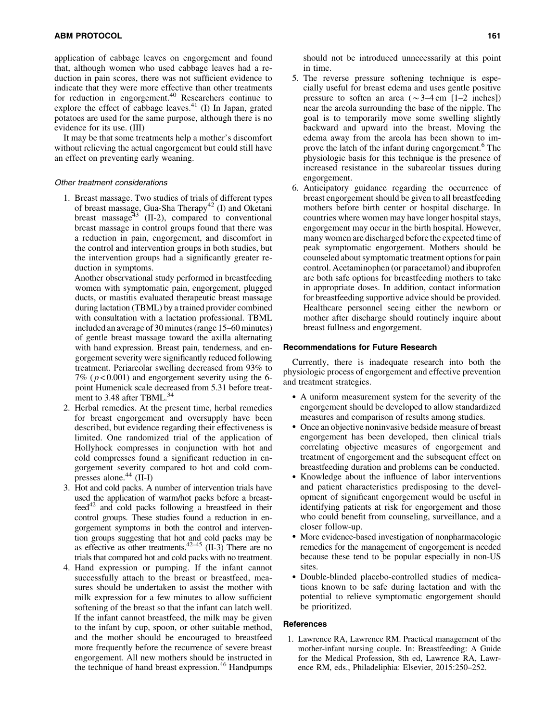application of cabbage leaves on engorgement and found that, although women who used cabbage leaves had a reduction in pain scores, there was not sufficient evidence to indicate that they were more effective than other treatments for reduction in engorgement.<sup>40</sup> Researchers continue to explore the effect of cabbage leaves.<sup>41</sup> (I) In Japan, grated potatoes are used for the same purpose, although there is no evidence for its use. (III)

It may be that some treatments help a mother's discomfort without relieving the actual engorgement but could still have an effect on preventing early weaning.

#### Other treatment considerations

1. Breast massage. Two studies of trials of different types of breast massage, Gua-Sha Therapy<sup>42</sup> (I) and Oketani breast massage<sup>43</sup> (II-2), compared to conventional breast massage in control groups found that there was a reduction in pain, engorgement, and discomfort in the control and intervention groups in both studies, but the intervention groups had a significantly greater reduction in symptoms.

Another observational study performed in breastfeeding women with symptomatic pain, engorgement, plugged ducts, or mastitis evaluated therapeutic breast massage during lactation (TBML) by a trained provider combined with consultation with a lactation professional. TBML included an average of 30 minutes (range 15–60 minutes) of gentle breast massage toward the axilla alternating with hand expression. Breast pain, tenderness, and engorgement severity were significantly reduced following treatment. Periareolar swelling decreased from 93% to 7% ( *p* < 0.001) and engorgement severity using the 6 point Humenick scale decreased from 5.31 before treatment to 3.48 after TBML.<sup>34</sup>

- 2. Herbal remedies. At the present time, herbal remedies for breast engorgement and oversupply have been described, but evidence regarding their effectiveness is limited. One randomized trial of the application of Hollyhock compresses in conjunction with hot and cold compresses found a significant reduction in engorgement severity compared to hot and cold compresses alone. $^{44}$  (II-I)
- 3. Hot and cold packs. A number of intervention trials have used the application of warm/hot packs before a breast $feed^{42}$  and cold packs following a breastfeed in their control groups. These studies found a reduction in engorgement symptoms in both the control and intervention groups suggesting that hot and cold packs may be as effective as other treatments.<sup>42–45</sup> (II-3) There are no trials that compared hot and cold packs with no treatment.
- 4. Hand expression or pumping. If the infant cannot successfully attach to the breast or breastfeed, measures should be undertaken to assist the mother with milk expression for a few minutes to allow sufficient softening of the breast so that the infant can latch well. If the infant cannot breastfeed, the milk may be given to the infant by cup, spoon, or other suitable method, and the mother should be encouraged to breastfeed more frequently before the recurrence of severe breast engorgement. All new mothers should be instructed in the technique of hand breast expression.<sup>46</sup> Handpumps

should not be introduced unnecessarily at this point in time.

- 5. The reverse pressure softening technique is especially useful for breast edema and uses gentle positive pressure to soften an area ( $\sim$ 3–4 cm [1–2 inches]) near the areola surrounding the base of the nipple. The goal is to temporarily move some swelling slightly backward and upward into the breast. Moving the edema away from the areola has been shown to improve the latch of the infant during engorgement.<sup>6</sup> The physiologic basis for this technique is the presence of increased resistance in the subareolar tissues during engorgement.
- 6. Anticipatory guidance regarding the occurrence of breast engorgement should be given to all breastfeeding mothers before birth center or hospital discharge. In countries where women may have longer hospital stays, engorgement may occur in the birth hospital. However, many women are discharged before the expected time of peak symptomatic engorgement. Mothers should be counseled about symptomatic treatment options for pain control. Acetaminophen (or paracetamol) and ibuprofen are both safe options for breastfeeding mothers to take in appropriate doses. In addition, contact information for breastfeeding supportive advice should be provided. Healthcare personnel seeing either the newborn or mother after discharge should routinely inquire about breast fullness and engorgement.

#### Recommendations for Future Research

Currently, there is inadequate research into both the physiologic process of engorgement and effective prevention and treatment strategies.

- A uniform measurement system for the severity of the engorgement should be developed to allow standardized measures and comparison of results among studies.
- Once an objective noninvasive bedside measure of breast engorgement has been developed, then clinical trials correlating objective measures of engorgement and treatment of engorgement and the subsequent effect on breastfeeding duration and problems can be conducted.
- Knowledge about the influence of labor interventions and patient characteristics predisposing to the development of significant engorgement would be useful in identifying patients at risk for engorgement and those who could benefit from counseling, surveillance, and a closer follow-up.
- More evidence-based investigation of nonpharmacologic remedies for the management of engorgement is needed because these tend to be popular especially in non-US sites.
- Double-blinded placebo-controlled studies of medications known to be safe during lactation and with the potential to relieve symptomatic engorgement should be prioritized.

#### **References**

1. Lawrence RA, Lawrence RM. Practical management of the mother-infant nursing couple. In: Breastfeeding: A Guide for the Medical Profession, 8th ed, Lawrence RA, Lawrence RM, eds., Philadeliphia: Elsevier, 2015:250–252.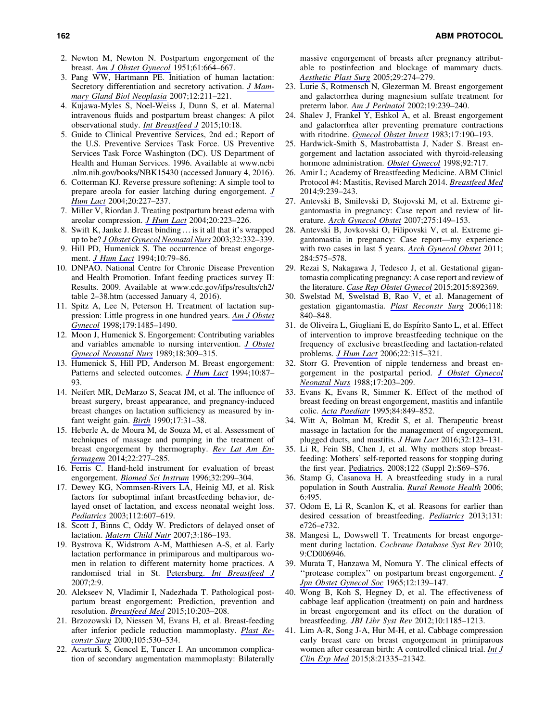- 2. Newton M, Newton N. Postpartum engorgement of the breast. *[Am J Obstet Gynecol](http://online.liebertpub.com/action/showLinks?pmid=14810819&crossref=10.1016%2F0002-9378%2851%2991418-4)* 1951;61:664–667.
- 3. Pang WW, Hartmann PE. Initiation of human lactation: Secretory differentiation and secretory activation. *[J Mam](http://online.liebertpub.com/action/showLinks?pmid=18027076&crossref=10.1007%2Fs10911-007-9054-4)[mary Gland Biol Neoplasia](http://online.liebertpub.com/action/showLinks?pmid=18027076&crossref=10.1007%2Fs10911-007-9054-4)* 2007;12:211–221.
- 4. Kujawa-Myles S, Noel-Weiss J, Dunn S, et al. Maternal intravenous fluids and postpartum breast changes: A pilot observational study. *[Int Breastfeed J](http://online.liebertpub.com/action/showLinks?pmid=26113871&crossref=10.1186%2Fs13006-015-0043-8)* 2015;10:18.
- 5. Guide to Clinical Preventive Services, 2nd ed.; Report of the U.S. Preventive Services Task Force. US Preventive Services Task Force Washington (DC). US Department of Health and Human Services. 1996. Available at www.ncbi .nlm.nih.gov/books/NBK15430 (accessed January 4, 2016).
- 6. Cotterman KJ. Reverse pressure softening: A simple tool to prepare areola for easier latching during engorgement. *[J](http://online.liebertpub.com/action/showLinks?pmid=15117523&crossref=10.1177%2F0890334404264224) [Hum Lact](http://online.liebertpub.com/action/showLinks?pmid=15117523&crossref=10.1177%2F0890334404264224)* 2004;20:227–237.
- 7. Miller V, Riordan J. Treating postpartum breast edema with areolar compression. *[J Hum Lact](http://online.liebertpub.com/action/showLinks?pmid=15117522&crossref=10.1177%2F0890334404264326)* 2004;20:223–226.
- 8. Swift K, Janke J. Breast binding. is it all that it's wrapped up to be? *[J Obstet Gynecol Neonatal Nurs](http://online.liebertpub.com/action/showLinks?pmid=12774875)* 2003;32:332–339.
- 9. Hill PD, Humenick S. The occurrence of breast engorgement. *[J Hum Lact](http://online.liebertpub.com/action/showLinks?pmid=7619260&crossref=10.1177%2F089033449401000212)* 1994;10:79–86.
- 10. DNPAO. National Centre for Chronic Disease Prevention and Health Promotion. Infant feeding practices survey II: Results. 2009. Available at www.cdc.gov/ifps/results/ch2/ table 2–38.htm (accessed January 4, 2016).
- 11. Spitz A, Lee N, Peterson H. Treatment of lactation suppression: Little progress in one hundred years. *[Am J Obstet](http://online.liebertpub.com/action/showLinks?pmid=9855585&crossref=10.1016%2FS0002-9378%2898%2970013-4) [Gynecol](http://online.liebertpub.com/action/showLinks?pmid=9855585&crossref=10.1016%2FS0002-9378%2898%2970013-4)* 1998;179:1485–1490.
- 12. Moon J, Humenick S. Engorgement: Contributing variables and variables amenable to nursing intervention. *[J Obstet](http://online.liebertpub.com/action/showLinks?pmid=2746380&crossref=10.1111%2Fj.1552-6909.1989.tb01624.x) [Gynecol Neonatal Nurs](http://online.liebertpub.com/action/showLinks?pmid=2746380&crossref=10.1111%2Fj.1552-6909.1989.tb01624.x)* 1989;18:309–315.
- 13. Humenick S, Hill PD, Anderson M. Breast engorgement: Patterns and selected outcomes. *[J Hum Lact](http://online.liebertpub.com/action/showLinks?pmid=7619261&crossref=10.1177%2F089033449401000213)* 1994;10:87– 93.
- 14. Neifert MR, DeMarzo S, Seacat JM, et al. The influence of breast surgery, breast appearance, and pregnancy-induced breast changes on lactation sufficiency as measured by infant weight gain. *[Birth](http://online.liebertpub.com/action/showLinks?pmid=2288566&crossref=10.1111%2Fj.1523-536X.1990.tb00007.x)* 1990;17:31–38.
- 15. Heberle A, de Moura M, de Souza M, et al. Assessment of techniques of massage and pumping in the treatment of breast engorgement by thermography. *[Rev Lat Am En](http://online.liebertpub.com/action/showLinks?pmid=26107836&crossref=10.1590%2F0104-1169.3238.2413)[fermagem](http://online.liebertpub.com/action/showLinks?pmid=26107836&crossref=10.1590%2F0104-1169.3238.2413)* 2014;22:277–285.
- 16. Ferris C. Hand-held instrument for evaluation of breast engorgement. *[Biomed Sci Instrum](http://online.liebertpub.com/action/showLinks?pmid=8672683)* 1996;32:299–304.
- 17. Dewey KG, Nommsen-Rivers LA, Heinig MJ, et al. Risk factors for suboptimal infant breastfeeding behavior, delayed onset of lactation, and excess neonatal weight loss. *[Pediatrics](http://online.liebertpub.com/action/showLinks?pmid=12949292&crossref=10.1542%2Fpeds.112.3.607)* 2003;112:607–619.
- 18. Scott J, Binns C, Oddy W. Predictors of delayed onset of lactation. *[Matern Child Nutr](http://online.liebertpub.com/action/showLinks?pmid=17539887&crossref=10.1111%2Fj.1740-8709.2007.00096.x)* 2007;3:186–193.
- 19. Bystrova K, Widstrom A-M, Matthiesen A-S, et al. Early lactation performance in primiparous and multiparous women in relation to different maternity home practices. A randomised trial in St. Petersburg. *[Int Breastfeed J](http://online.liebertpub.com/action/showLinks?pmid=17488524&crossref=10.1186%2F1746-4358-2-9)* 2007;2:9.
- 20. Alekseev N, Vladimir I, Nadezhada T. Pathological postpartum breast engorgement: Prediction, prevention and resolution. *[Breastfeed Med](http://online.liebertpub.com/action/showLinks?system=10.1089%2Fbfm.2014.0047)* 2015;10:203–208.
- 21. Brzozowski D, Niessen M, Evans H, et al. Breast-feeding after inferior pedicle reduction mammoplasty. *[Plast Re](http://online.liebertpub.com/action/showLinks?pmid=10697157&crossref=10.1097%2F00006534-200002000-00008)[constr Surg](http://online.liebertpub.com/action/showLinks?pmid=10697157&crossref=10.1097%2F00006534-200002000-00008)* 2000;105:530–534.
- 22. Acarturk S, Gencel E, Tuncer I. An uncommon complication of secondary augmentation mammoplasty: Bilaterally

massive engorgement of breasts after pregnancy attributable to postinfection and blockage of mammary ducts. *[Aesthetic Plast Surg](http://online.liebertpub.com/action/showLinks?pmid=15948017&crossref=10.1007%2Fs00266-005-1093-x)* 2005;29:274–279.

- 23. Lurie S, Rotmensch N, Glezerman M. Breast engorgement and galactorrhea during magnesium sulfate treatment for preterm labor. *[Am J Perinatol](http://online.liebertpub.com/action/showLinks?pmid=12152141&crossref=10.1055%2Fs-2002-33086)* 2002;19:239–240.
- 24. Shalev J, Frankel Y, Eshkol A, et al. Breast engorgement and galactorrhea after preventing premature contractions with ritodrine. *[Gynecol Obstet Invest](http://online.liebertpub.com/action/showLinks?crossref=10.1159%2F000299147)* 1983;17:190–193.
- 25. Hardwick-Smith S, Mastrobattista J, Nader S. Breast engorgement and lactation associated with thyroid-releasing hormone administration. *[Obstet Gynecol](http://online.liebertpub.com/action/showLinks?pmid=9764684&crossref=10.1016%2FS0029-7844%2898%2900069-6)* 1998;92:717.
- 26. Amir L; Academy of Breastfeeding Medicine. ABM Clinicl Protocol #4: Mastitis, Revised March 2014. *[Breastfeed Med](http://online.liebertpub.com/action/showLinks?system=10.1089%2Fbfm.2014.9984)* 2014;9:239–243.
- 27. Antevski B, Smilevski D, Stojovski M, et al. Extreme gigantomastia in pregnancy: Case report and review of literature. *[Arch Gynecol Obstet](http://online.liebertpub.com/action/showLinks?pmid=16770587&crossref=10.1007%2Fs00404-006-0190-7)* 2007;275:149–153.
- 28. Antevski B, Jovkovski O, Filipovski V, et al. Extreme gigantomastia in pregnancy: Case report—my experience with two cases in last 5 years. *[Arch Gynecol Obstet](http://online.liebertpub.com/action/showLinks?pmid=20978777&crossref=10.1007%2Fs00404-010-1714-8)* 2011; 284:575–578.
- 29. Rezai S, Nakagawa J, Tedesco J, et al. Gestational gigantomastia complicating pregnancy: A case report and review of the literature. *[Case Rep Obstet Gynecol](http://online.liebertpub.com/action/showLinks?pmid=26713166)* 2015;2015:892369.
- 30. Swelstad M, Swelstad B, Rao V, et al. Management of gestation gigantomastia. *[Plast Reconstr Surg](http://online.liebertpub.com/action/showLinks?pmid=16980844&crossref=10.1097%2F01.prs.0000232364.40958.47)* 2006;118: 840–848.
- 31. de Oliveira L, Giugliani E, do Espírito Santo L, et al. Effect of intervention to improve breastfeeding technique on the frequency of exclusive breastfeeding and lactation-related problems. *[J Hum Lact](http://online.liebertpub.com/action/showLinks?pmid=16885491&crossref=10.1177%2F0890334406290221)* 2006;22:315–321.
- 32. Storr G. Prevention of nipple tenderness and breast engorgement in the postpartal period. *[J Obstet Gynecol](http://online.liebertpub.com/action/showLinks?pmid=3392623&crossref=10.1111%2Fj.1552-6909.1988.tb00426.x) [Neonatal Nurs](http://online.liebertpub.com/action/showLinks?pmid=3392623&crossref=10.1111%2Fj.1552-6909.1988.tb00426.x)* 1988;17:203–209.
- 33. Evans K, Evans R, Simmer K. Effect of the method of breast feeding on breast engorgement, mastitis and infantile colic. *[Acta Paediatr](http://online.liebertpub.com/action/showLinks?pmid=7488804&crossref=10.1111%2Fj.1651-2227.1995.tb13777.x)* 1995;84:849–852.
- 34. Witt A, Bolman M, Kredit S, et al. Therapeutic breast massage in lactation for the management of engorgement, plugged ducts, and mastitis. *[J Hum Lact](http://online.liebertpub.com/action/showLinks?pmid=26644422&crossref=10.1177%2F0890334415619439)* 2016;32:123–131.
- 35. Li R, Fein SB, Chen J, et al. Why mothers stop breastfeeding: Mothers' self-reported reasons for stopping during the first year. [Pediatrics.](http://online.liebertpub.com/action/showLinks?pmid=18829834&crossref=10.1542%2Fpeds.2008-1315i) 2008;122 (Suppl 2):S69–S76.
- 36. Stamp G, Casanova H. A breastfeeding study in a rural population in South Australia. *[Rural Remote Health](http://online.liebertpub.com/action/showLinks?pmid=16732696)* 2006; 6:495.
- 37. Odom E, Li R, Scanlon K, et al. Reasons for earlier than desired cessation of breastfeeding. *[Pediatrics](http://online.liebertpub.com/action/showLinks?pmid=23420922&crossref=10.1542%2Fpeds.2012-1295)* 2013;131: e726–e732.
- 38. Mangesi L, Dowswell T. Treatments for breast engorgement during lactation. *Cochrane Database Syst Rev* 2010; 9:CD006946.
- 39. Murata T, Hanzawa M, Nomura Y. The clinical effects of ''protease complex'' on postpartum breast engorgement. *[J](http://online.liebertpub.com/action/showLinks?pmid=5330306) [Jpn Obstet Gynecol Soc](http://online.liebertpub.com/action/showLinks?pmid=5330306)* 1965;12:139–147.
- 40. Wong B, Koh S, Hegney D, et al. The effectiveness of cabbage leaf application (treatment) on pain and hardness in breast engorgement and its effect on the duration of breastfeeding. *JBI Libr Syst Rev* 2012;10:1185–1213.
- 41. Lim A-R, Song J-A, Hur M-H, et al. Cabbage compression early breast care on breast engorgement in primiparous women after cesarean birth: A controlled clinical trial. *[Int J](http://online.liebertpub.com/action/showLinks?pmid=26885074) [Clin Exp Med](http://online.liebertpub.com/action/showLinks?pmid=26885074)* 2015;8:21335–21342.